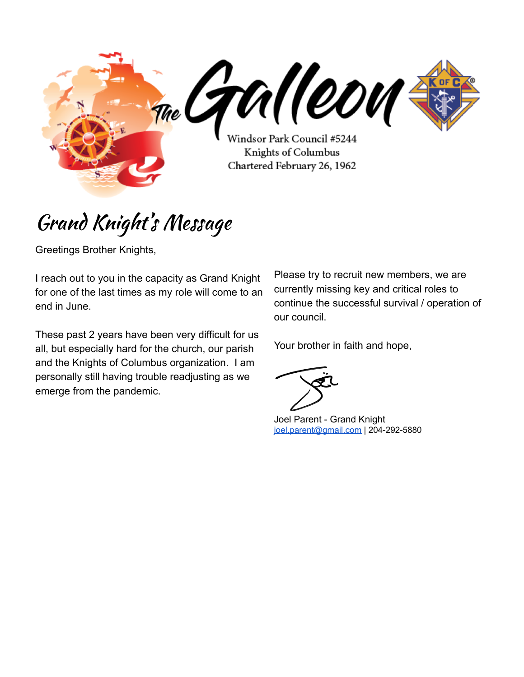

# Grand Knight' s Message

Greetings Brother Knights,

I reach out to you in the capacity as Grand Knight for one of the last times as my role will come to an end in June.

These past 2 years have been very difficult for us all, but especially hard for the church, our parish and the Knights of Columbus organization. I am personally still having trouble readjusting as we emerge from the pandemic.

Please try to recruit new members, we are currently missing key and critical roles to continue the successful survival / operation of our council.

Your brother in faith and hope,

Joel Parent - Grand Knight [joel.parent@gmail.com](mailto:joel.parent@gmail.com) | 204-292-5880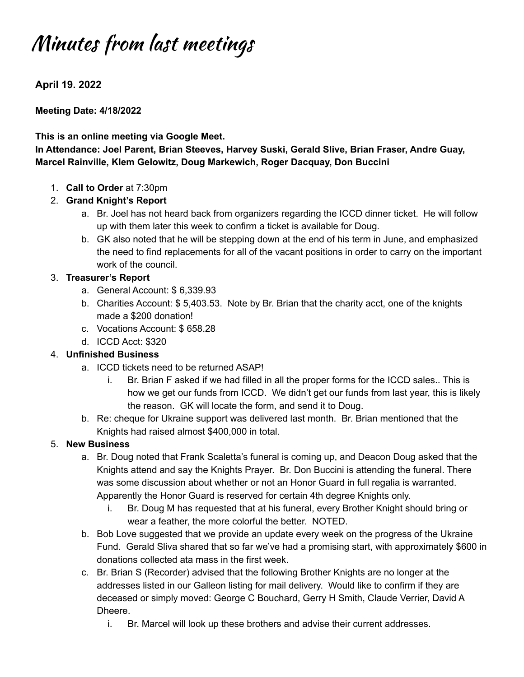# Minutes from last meetings

**April 19. 2022**

**Meeting Date: 4/18/2022**

#### **This is an online meeting via Google Meet.**

**In Attendance: Joel Parent, Brian Steeves, Harvey Suski, Gerald Slive, Brian Fraser, Andre Guay, Marcel Rainville, Klem Gelowitz, Doug Markewich, Roger Dacquay, Don Buccini**

1. **Call to Order** at 7:30pm

#### 2. **Grand Knight's Report**

- a. Br. Joel has not heard back from organizers regarding the ICCD dinner ticket. He will follow up with them later this week to confirm a ticket is available for Doug.
- b. GK also noted that he will be stepping down at the end of his term in June, and emphasized the need to find replacements for all of the vacant positions in order to carry on the important work of the council.

#### 3. **Treasurer's Report**

- a. General Account: \$ 6,339.93
- b. Charities Account: \$ 5,403.53. Note by Br. Brian that the charity acct, one of the knights made a \$200 donation!
- c. Vocations Account: \$ 658.28
- d. ICCD Acct: \$320

### 4. **Unfinished Business**

- a. ICCD tickets need to be returned ASAP!
	- i. Br. Brian F asked if we had filled in all the proper forms for the ICCD sales.. This is how we get our funds from ICCD. We didn't get our funds from last year, this is likely the reason. GK will locate the form, and send it to Doug.
- b. Re: cheque for Ukraine support was delivered last month. Br. Brian mentioned that the Knights had raised almost \$400,000 in total.

#### 5. **New Business**

- a. Br. Doug noted that Frank Scaletta's funeral is coming up, and Deacon Doug asked that the Knights attend and say the Knights Prayer. Br. Don Buccini is attending the funeral. There was some discussion about whether or not an Honor Guard in full regalia is warranted. Apparently the Honor Guard is reserved for certain 4th degree Knights only.
	- i. Br. Doug M has requested that at his funeral, every Brother Knight should bring or wear a feather, the more colorful the better. NOTED.
- b. Bob Love suggested that we provide an update every week on the progress of the Ukraine Fund. Gerald Sliva shared that so far we've had a promising start, with approximately \$600 in donations collected ata mass in the first week.
- c. Br. Brian S (Recorder) advised that the following Brother Knights are no longer at the addresses listed in our Galleon listing for mail delivery. Would like to confirm if they are deceased or simply moved: George C Bouchard, Gerry H Smith, Claude Verrier, David A Dheere.
	- i. Br. Marcel will look up these brothers and advise their current addresses.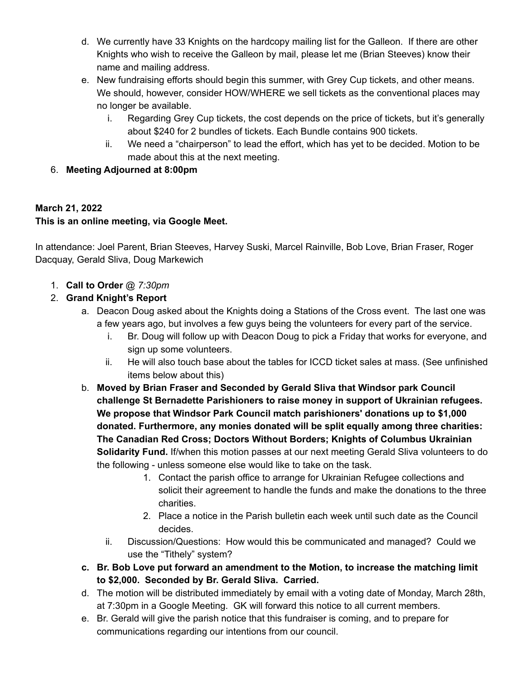- d. We currently have 33 Knights on the hardcopy mailing list for the Galleon. If there are other Knights who wish to receive the Galleon by mail, please let me (Brian Steeves) know their name and mailing address.
- e. New fundraising efforts should begin this summer, with Grey Cup tickets, and other means. We should, however, consider HOW/WHERE we sell tickets as the conventional places may no longer be available.
	- i. Regarding Grey Cup tickets, the cost depends on the price of tickets, but it's generally about \$240 for 2 bundles of tickets. Each Bundle contains 900 tickets.
	- ii. We need a "chairperson" to lead the effort, which has yet to be decided. Motion to be made about this at the next meeting.
- 6. **Meeting Adjourned at 8:00pm**

### **March 21, 2022**

### **This is an online meeting, via Google Meet.**

In attendance: Joel Parent, Brian Steeves, Harvey Suski, Marcel Rainville, Bob Love, Brian Fraser, Roger Dacquay, Gerald Sliva, Doug Markewich

- 1. **Call to Order** *@ 7:30pm*
- 2. **Grand Knight's Report**
	- a. Deacon Doug asked about the Knights doing a Stations of the Cross event. The last one was a few years ago, but involves a few guys being the volunteers for every part of the service.
		- i. Br. Doug will follow up with Deacon Doug to pick a Friday that works for everyone, and sign up some volunteers.
		- ii. He will also touch base about the tables for ICCD ticket sales at mass. (See unfinished items below about this)
	- b. **Moved by Brian Fraser and Seconded by Gerald Sliva that Windsor park Council challenge St Bernadette Parishioners to raise money in support of Ukrainian refugees. We propose that Windsor Park Council match parishioners' donations up to \$1,000 donated. Furthermore, any monies donated will be split equally among three charities: The Canadian Red Cross; Doctors Without Borders; Knights of Columbus Ukrainian Solidarity Fund.** If/when this motion passes at our next meeting Gerald Sliva volunteers to do the following - unless someone else would like to take on the task.
		- 1. Contact the parish office to arrange for Ukrainian Refugee collections and solicit their agreement to handle the funds and make the donations to the three charities.
		- 2. Place a notice in the Parish bulletin each week until such date as the Council decides.
		- ii. Discussion/Questions: How would this be communicated and managed? Could we use the "Tithely" system?
	- **c. Br. Bob Love put forward an amendment to the Motion, to increase the matching limit to \$2,000. Seconded by Br. Gerald Sliva. Carried.**
	- d. The motion will be distributed immediately by email with a voting date of Monday, March 28th, at 7:30pm in a Google Meeting. GK will forward this notice to all current members.
	- e. Br. Gerald will give the parish notice that this fundraiser is coming, and to prepare for communications regarding our intentions from our council.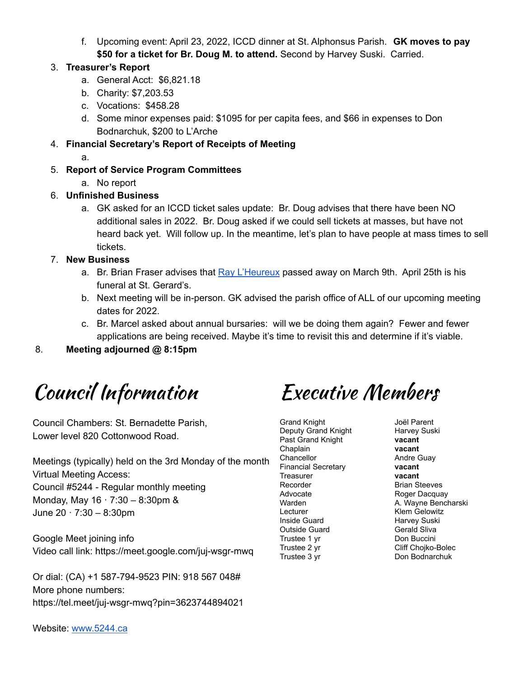f. Upcoming event: April 23, 2022, ICCD dinner at St. Alphonsus Parish. **GK moves to pay \$50 for a ticket for Br. Doug M. to attend.** Second by Harvey Suski. Carried.

#### 3. **Treasurer's Report**

- a. General Acct: \$6,821.18
- b. Charity: \$7,203.53
- c. Vocations: \$458.28
- d. Some minor expenses paid: \$1095 for per capita fees, and \$66 in expenses to Don Bodnarchuk, \$200 to L'Arche
- 4. **Financial Secretary's Report of Receipts of Meeting**
	- a.
- 5. **Report of Service Program Committees**
	- a. No report
- 6. **Unfinished Business**
	- a. GK asked for an ICCD ticket sales update: Br. Doug advises that there have been NO additional sales in 2022. Br. Doug asked if we could sell tickets at masses, but have not heard back yet. Will follow up. In the meantime, let's plan to have people at mass times to sell tickets.
- 7. **New Business**
	- a. Br. Brian Fraser advises that Ray [L'Heureux](https://passages.winnipegfreepress.com/passage-details/id-306194/L%27HEUREUX_RAYMOND) passed away on March 9th. April 25th is his funeral at St. Gerard's.
	- b. Next meeting will be in-person. GK advised the parish office of ALL of our upcoming meeting dates for 2022.
	- c. Br. Marcel asked about annual bursaries: will we be doing them again? Fewer and fewer applications are being received. Maybe it's time to revisit this and determine if it's viable.

8. **Meeting adjourned @ 8:15pm**

# Council Information Executive Members

Council Chambers: St. Bernadette Parish, Lower level 820 Cottonwood Road.

Meetings (typically) held on the 3rd Monday of the month Virtual Meeting Access: Council #5244 - Regular monthly meeting Monday, May  $16 \cdot 7:30 - 8:30$ pm & June 20 · 7:30 – 8:30pm

Google Meet joining info

Or dial: (CA) +1 587-794-9523 PIN: 918 567 048#

Video call link: https://meet.google.com/juj-wsgr-mwq

More phone numbers: https://tel.meet/juj-wsgr-mwq?pin=3623744894021

Grand Knight Deputy Grand Knight Past Grand Knight Chaplain **Chancellor** Financial Secretary **Treasurer** Recorder Advocate Warden Lecturer Inside Guard Outside Guard Trustee 1 yr Trustee 2 yr Trustee 3 yr

Joël Parent Harvey Suski **vacant vacant** Andre Guay **vacant vacant** Brian Steeves Roger Dacquay A. Wayne Bencharski Klem Gelowitz Harvey Suski Gerald Sliva Don Buccini Cliff Chojko-Bolec Don Bodnarchuk